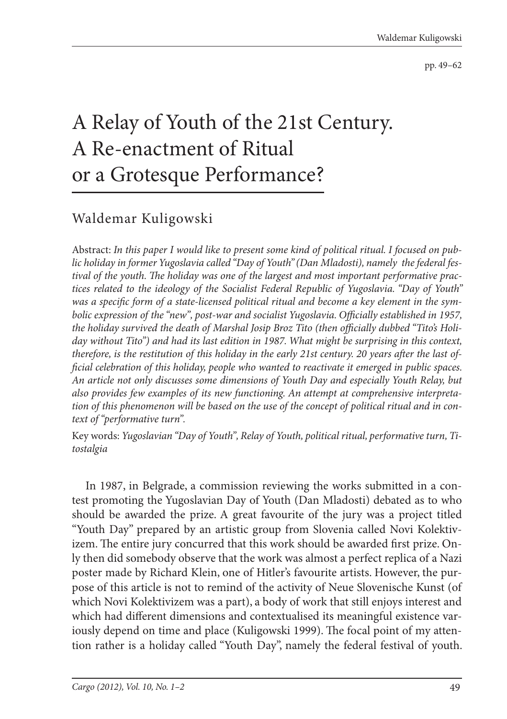pp. 49–62

## A Relay of Youth of the 21st Century. A Re-enactment of Ritual or a Grotesque Performance?

## Waldemar Kuligowski

Abstract: *In this paper I would like to present some kind of political ritual. I focused on public holiday in former Yugoslavia called "Day of Youth" (Dan Mladosti), namely the federal fes*tival of the youth. The holiday was one of the largest and most important performative prac*tices related to the ideology of the Socialist Federal Republic of Yugoslavia. "Day of Youth"*  was a specific form of a state-licensed political ritual and become a key element in the symbolic expression of the "new", post-war and socialist Yugoslavia. Officially established in 1957, the holiday survived the death of Marshal Josip Broz Tito (then officially dubbed "Tito's Holi*day without Tito") and had its last edition in 1987. What might be surprising in this context,*  therefore, is the restitution of this holiday in the early 21st century. 20 years after the last of*ficial celebration of this holiday, people who wanted to reactivate it emerged in public spaces. An article not only discusses some dimensions of Youth Day and especially Youth Relay, but also provides few examples of its new functioning. An attempt at comprehensive interpretation of this phenomenon will be based on the use of the concept of political ritual and in context of "performative turn".*

Key words: *Yugoslavian "Day of Youth", Relay of Youth, political ritual, performative turn, Titostalgia*

In 1987, in Belgrade, a commission reviewing the works submitted in a contest promoting the Yugoslavian Day of Youth (Dan Mladosti) debated as to who should be awarded the prize. A great favourite of the jury was a project titled "Youth Day" prepared by an artistic group from Slovenia called Novi Kolektivizem. The entire jury concurred that this work should be awarded first prize. Only then did somebody observe that the work was almost a perfect replica of a Nazi poster made by Richard Klein, one of Hitler's favourite artists. However, the purpose of this article is not to remind of the activity of Neue Slovenische Kunst (of which Novi Kolektivizem was a part), a body of work that still enjoys interest and which had different dimensions and contextualised its meaningful existence variously depend on time and place (Kuligowski 1999). The focal point of my attention rather is a holiday called "Youth Day", namely the federal festival of youth.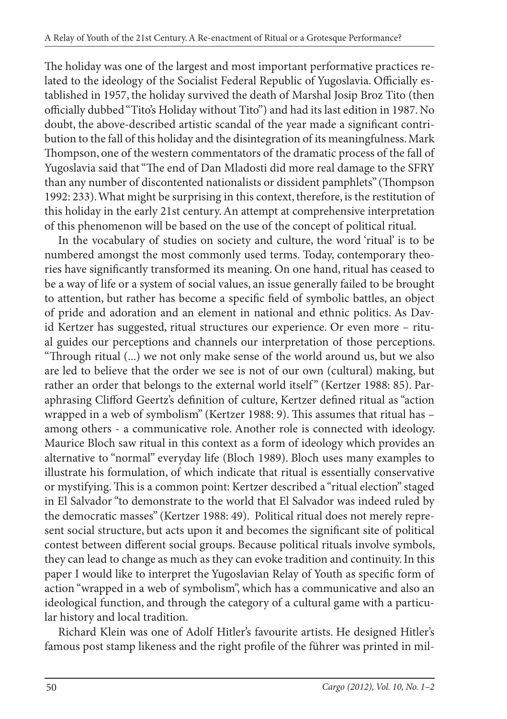The holiday was one of the largest and most important performative practices related to the ideology of the Socialist Federal Republic of Yugoslavia. Officially established in 1957, the holiday survived the death of Marshal Josip Broz Tito (then officially dubbed "Tito's Holiday without Tito") and had its last edition in 1987. No doubt, the above-described artistic scandal of the year made a significant contribution to the fall of this holiday and the disintegration of its meaningfulness. Mark Thompson, one of the western commentators of the dramatic process of the fall of Yugoslavia said that "The end of Dan Mladosti did more real damage to the SFRY than any number of discontented nationalists or dissident pamphlets" (Thompson 1992: 233). What might be surprising in this context, therefore, is the restitution of this holiday in the early 21st century. An attempt at comprehensive interpretation of this phenomenon will be based on the use of the concept of political ritual.

In the vocabulary of studies on society and culture, the word 'ritual' is to be numbered amongst the most commonly used terms. Today, contemporary theories have significantly transformed its meaning. On one hand, ritual has ceased to be a way of life or a system of social values, an issue generally failed to be brought to attention, but rather has become a specific field of symbolic battles, an object of pride and adoration and an element in national and ethnic politics. As David Kertzer has suggested, ritual structures our experience. Or even more – ritual guides our perceptions and channels our interpretation of those perceptions. "Through ritual (...) we not only make sense of the world around us, but we also are led to believe that the order we see is not of our own (cultural) making, but rather an order that belongs to the external world itself" (Kertzer 1988: 85). Paraphrasing Clifford Geertz's definition of culture, Kertzer defined ritual as "action wrapped in a web of symbolism" (Kertzer 1988: 9). This assumes that ritual has among others - a communicative role. Another role is connected with ideology. Maurice Bloch saw ritual in this context as a form of ideology which provides an alternative to "normal" everyday life (Bloch 1989). Bloch uses many examples to illustrate his formulation, of which indicate that ritual is essentially conservative or mystifying. This is a common point: Kertzer described a "ritual election" staged in El Salvador "to demonstrate to the world that El Salvador was indeed ruled by the democratic masses" (Kertzer 1988: 49). Political ritual does not merely represent social structure, but acts upon it and becomes the significant site of political contest between different social groups. Because political rituals involve symbols, they can lead to change as much as they can evoke tradition and continuity. In this paper I would like to interpret the Yugoslavian Relay of Youth as specific form of action "wrapped in a web of symbolism", which has a communicative and also an ideological function, and through the category of a cultural game with a particular history and local tradition.

Richard Klein was one of Adolf Hitler's favourite artists. He designed Hitler's famous post stamp likeness and the right profile of the führer was printed in mil-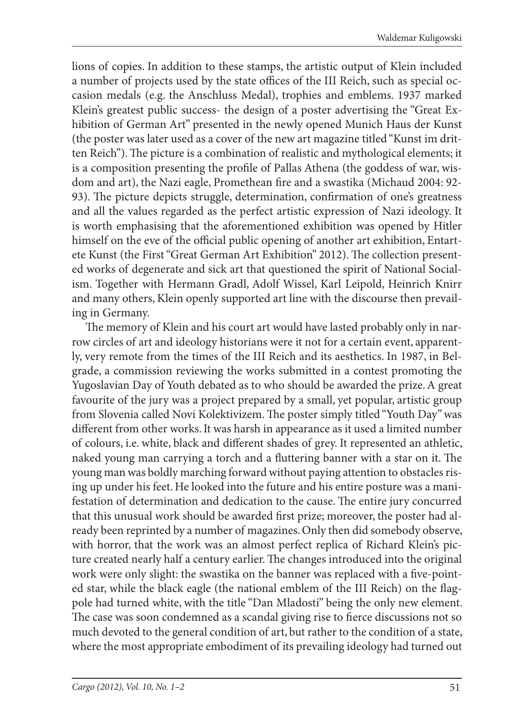lions of copies. In addition to these stamps, the artistic output of Klein included a number of projects used by the state offices of the III Reich, such as special occasion medals (e.g. the Anschluss Medal), trophies and emblems. 1937 marked Klein's greatest public success- the design of a poster advertising the "Great Exhibition of German Art" presented in the newly opened Munich Haus der Kunst (the poster was later used as a cover of the new art magazine titled "Kunst im dritten Reich"). The picture is a combination of realistic and mythological elements; it is a composition presenting the profile of Pallas Athena (the goddess of war, wisdom and art), the Nazi eagle, Promethean fire and a swastika (Michaud 2004: 92-93). The picture depicts struggle, determination, confirmation of one's greatness and all the values regarded as the perfect artistic expression of Nazi ideology. It is worth emphasising that the aforementioned exhibition was opened by Hitler himself on the eve of the official public opening of another art exhibition, Entartete Kunst (the First "Great German Art Exhibition" 2012). The collection presented works of degenerate and sick art that questioned the spirit of National Socialism. Together with Hermann Gradl, Adolf Wissel, Karl Leipold, Heinrich Knirr and many others, Klein openly supported art line with the discourse then prevailing in Germany.

The memory of Klein and his court art would have lasted probably only in narrow circles of art and ideology historians were it not for a certain event, apparently, very remote from the times of the III Reich and its aesthetics. In 1987, in Belgrade, a commission reviewing the works submitted in a contest promoting the Yugoslavian Day of Youth debated as to who should be awarded the prize. A great favourite of the jury was a project prepared by a small, yet popular, artistic group from Slovenia called Novi Kolektivizem. The poster simply titled "Youth Day" was different from other works. It was harsh in appearance as it used a limited number of colours, i.e. white, black and different shades of grey. It represented an athletic, naked young man carrying a torch and a fluttering banner with a star on it. The young man was boldly marching forward without paying attention to obstacles rising up under his feet. He looked into the future and his entire posture was a manifestation of determination and dedication to the cause. The entire jury concurred that this unusual work should be awarded first prize; moreover, the poster had already been reprinted by a number of magazines. Only then did somebody observe, with horror, that the work was an almost perfect replica of Richard Klein's picture created nearly half a century earlier. The changes introduced into the original work were only slight: the swastika on the banner was replaced with a five-pointed star, while the black eagle (the national emblem of the III Reich) on the flagpole had turned white, with the title "Dan Mladosti" being the only new element. The case was soon condemned as a scandal giving rise to fierce discussions not so much devoted to the general condition of art, but rather to the condition of a state, where the most appropriate embodiment of its prevailing ideology had turned out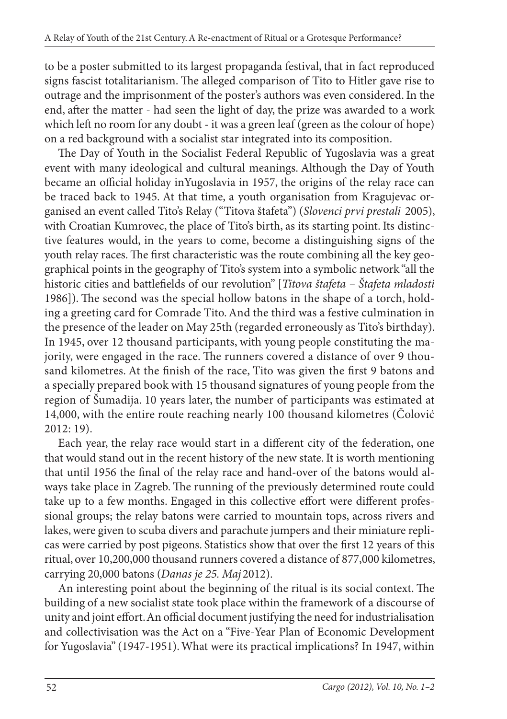to be a poster submitted to its largest propaganda festival, that in fact reproduced signs fascist totalitarianism. The alleged comparison of Tito to Hitler gave rise to outrage and the imprisonment of the poster's authors was even considered. In the end, after the matter - had seen the light of day, the prize was awarded to a work which left no room for any doubt - it was a green leaf (green as the colour of hope) on a red background with a socialist star integrated into its composition.

The Day of Youth in the Socialist Federal Republic of Yugoslavia was a great event with many ideological and cultural meanings. Although the Day of Youth became an official holiday inYugoslavia in 1957, the origins of the relay race can be traced back to 1945. At that time, a youth organisation from Kragujevac organised an event called Tito's Relay ("Titova štafeta") (*Slovenci prvi prestali* 2005), with Croatian Kumrovec, the place of Tito's birth, as its starting point. Its distinctive features would, in the years to come, become a distinguishing signs of the youth relay races. The first characteristic was the route combining all the key geographical points in the geography of Tito's system into a symbolic network "all the historic cities and battlefields of our revolution" [*Titova štafeta - Štafeta mladosti* 1986]). The second was the special hollow batons in the shape of a torch, holding a greeting card for Comrade Tito. And the third was a festive culmination in the presence of the leader on May 25th (regarded erroneously as Tito's birthday). In 1945, over 12 thousand participants, with young people constituting the majority, were engaged in the race. The runners covered a distance of over 9 thousand kilometres. At the finish of the race, Tito was given the first 9 batons and a specially prepared book with 15 thousand signatures of young people from the region of Šumadija. 10 years later, the number of participants was estimated at 14,000, with the entire route reaching nearly 100 thousand kilometres (Čolović 2012: 19).

Each year, the relay race would start in a different city of the federation, one that would stand out in the recent history of the new state. It is worth mentioning that until 1956 the final of the relay race and hand-over of the batons would always take place in Zagreb. The running of the previously determined route could take up to a few months. Engaged in this collective effort were different professional groups; the relay batons were carried to mountain tops, across rivers and lakes, were given to scuba divers and parachute jumpers and their miniature replicas were carried by post pigeons. Statistics show that over the first 12 years of this ritual, over 10,200,000 thousand runners covered a distance of 877,000 kilometres, carrying 20,000 batons (*Danas je 25. Maj* 2012).

An interesting point about the beginning of the ritual is its social context. The building of a new socialist state took place within the framework of a discourse of unity and joint effort. An official document justifying the need for industrialisation and collectivisation was the Act on a "Five-Year Plan of Economic Development for Yugoslavia" (1947-1951). What were its practical implications? In 1947, within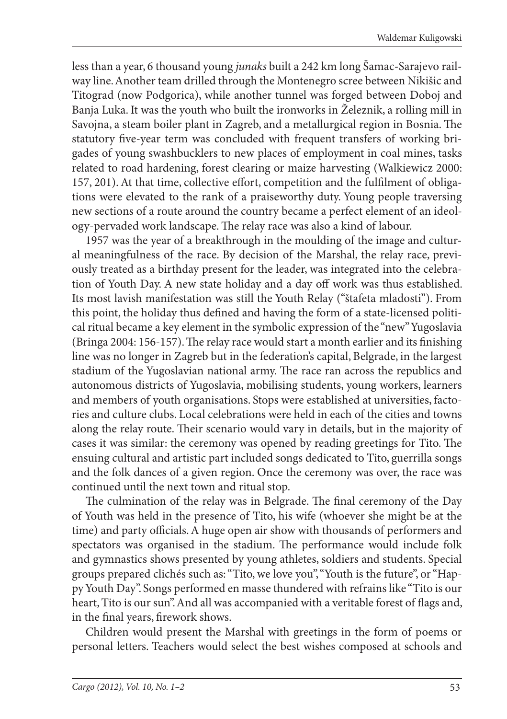less than a year, 6 thousand young *junaks* built a 242 km long Šamac-Sarajevo railway line. Another team drilled through the Montenegro scree between Nikišic and Titograd (now Podgorica), while another tunnel was forged between Doboj and Banja Luka. It was the youth who built the ironworks in Železnik, a rolling mill in Savojna, a steam boiler plant in Zagreb, and a metallurgical region in Bosnia. The statutory five-year term was concluded with frequent transfers of working brigades of young swashbucklers to new places of employment in coal mines, tasks related to road hardening, forest clearing or maize harvesting (Walkiewicz 2000: 157, 201). At that time, collective effort, competition and the fulfilment of obligations were elevated to the rank of a praiseworthy duty. Young people traversing new sections of a route around the country became a perfect element of an ideology-pervaded work landscape. The relay race was also a kind of labour.

1957 was the year of a breakthrough in the moulding of the image and cultural meaningfulness of the race. By decision of the Marshal, the relay race, previously treated as a birthday present for the leader, was integrated into the celebration of Youth Day. A new state holiday and a day off work was thus established. Its most lavish manifestation was still the Youth Relay ("štafeta mladosti"). From this point, the holiday thus defined and having the form of a state-licensed political ritual became a key element in the symbolic expression of the "new" Yugoslavia (Bringa 2004: 156-157). The relay race would start a month earlier and its finishing line was no longer in Zagreb but in the federation's capital, Belgrade, in the largest stadium of the Yugoslavian national army. The race ran across the republics and autonomous districts of Yugoslavia, mobilising students, young workers, learners and members of youth organisations. Stops were established at universities, factories and culture clubs. Local celebrations were held in each of the cities and towns along the relay route. Their scenario would vary in details, but in the majority of cases it was similar: the ceremony was opened by reading greetings for Tito. The ensuing cultural and artistic part included songs dedicated to Tito, guerrilla songs and the folk dances of a given region. Once the ceremony was over, the race was continued until the next town and ritual stop.

The culmination of the relay was in Belgrade. The final ceremony of the Day of Youth was held in the presence of Tito, his wife (whoever she might be at the time) and party officials. A huge open air show with thousands of performers and spectators was organised in the stadium. The performance would include folk and gymnastics shows presented by young athletes, soldiers and students. Special groups prepared clichés such as: "Tito, we love you", "Youth is the future", or "Happy Youth Day". Songs performed en masse thundered with refrains like "Tito is our heart, Tito is our sun". And all was accompanied with a veritable forest of flags and, in the final years, firework shows.

Children would present the Marshal with greetings in the form of poems or personal letters. Teachers would select the best wishes composed at schools and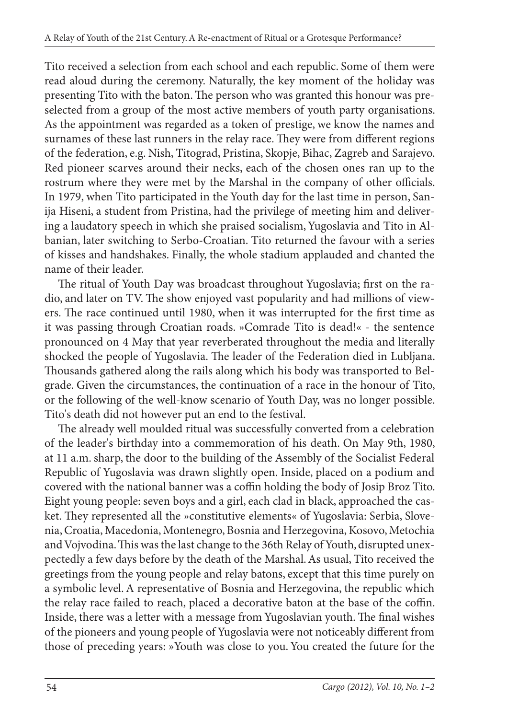Tito received a selection from each school and each republic. Some of them were read aloud during the ceremony. Naturally, the key moment of the holiday was presenting Tito with the baton. The person who was granted this honour was preselected from a group of the most active members of youth party organisations. As the appointment was regarded as a token of prestige, we know the names and surnames of these last runners in the relay race. They were from different regions of the federation, e.g. Nish, Titograd, Pristina, Skopje, Bihac, Zagreb and Sarajevo. Red pioneer scarves around their necks, each of the chosen ones ran up to the rostrum where they were met by the Marshal in the company of other officials. In 1979, when Tito participated in the Youth day for the last time in person, Sanija Hiseni, a student from Pristina, had the privilege of meeting him and delivering a laudatory speech in which she praised socialism, Yugoslavia and Tito in Albanian, later switching to Serbo-Croatian. Tito returned the favour with a series of kisses and handshakes. Finally, the whole stadium applauded and chanted the name of their leader.

The ritual of Youth Day was broadcast throughout Yugoslavia; first on the radio, and later on TV. The show enjoyed vast popularity and had millions of viewers. The race continued until 1980, when it was interrupted for the first time as it was passing through Croatian roads. »Comrade Tito is dead!« - the sentence pronounced on 4 May that year reverberated throughout the media and literally shocked the people of Yugoslavia. The leader of the Federation died in Lubljana. Thousands gathered along the rails along which his body was transported to Belgrade. Given the circumstances, the continuation of a race in the honour of Tito, or the following of the well-know scenario of Youth Day, was no longer possible. Tito's death did not however put an end to the festival.

The already well moulded ritual was successfully converted from a celebration of the leader's birthday into a commemoration of his death. On May 9th, 1980, at 11 a.m. sharp, the door to the building of the Assembly of the Socialist Federal Republic of Yugoslavia was drawn slightly open. Inside, placed on a podium and covered with the national banner was a coffin holding the body of Josip Broz Tito. Eight young people: seven boys and a girl, each clad in black, approached the casket. They represented all the »constitutive elements« of Yugoslavia: Serbia, Slovenia, Croatia, Macedonia, Montenegro, Bosnia and Herzegovina, Kosovo, Metochia and Vojvodina. This was the last change to the 36th Relay of Youth, disrupted unexpectedly a few days before by the death of the Marshal. As usual, Tito received the greetings from the young people and relay batons, except that this time purely on a symbolic level. A representative of Bosnia and Herzegovina, the republic which the relay race failed to reach, placed a decorative baton at the base of the coffin. Inside, there was a letter with a message from Yugoslavian youth. The final wishes of the pioneers and young people of Yugoslavia were not noticeably different from those of preceding years: »Youth was close to you. You created the future for the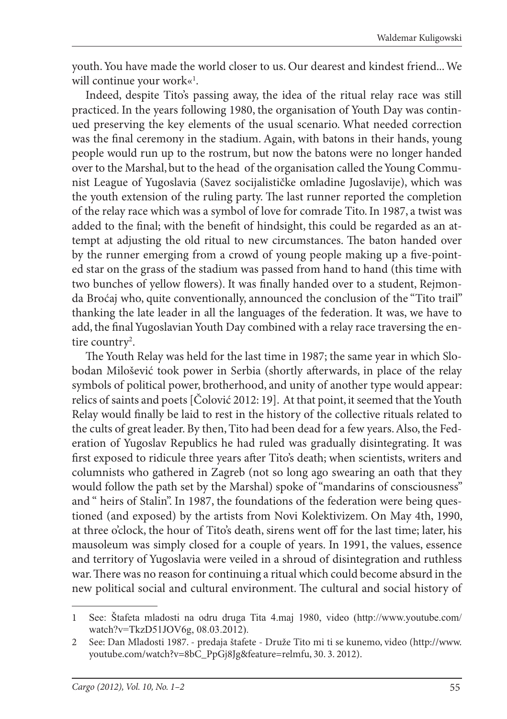youth. You have made the world closer to us. Our dearest and kindest friend... We will continue your work«<sup>1</sup>.

Indeed, despite Tito's passing away, the idea of the ritual relay race was still practiced. In the years following 1980, the organisation of Youth Day was continued preserving the key elements of the usual scenario. What needed correction was the final ceremony in the stadium. Again, with batons in their hands, young people would run up to the rostrum, but now the batons were no longer handed over to the Marshal, but to the head of the organisation called the Young Communist League of Yugoslavia (Savez socijalističke omladine Jugoslavije), which was the youth extension of the ruling party. The last runner reported the completion of the relay race which was a symbol of love for comrade Tito. In 1987, a twist was added to the final; with the benefit of hindsight, this could be regarded as an attempt at adjusting the old ritual to new circumstances. The baton handed over by the runner emerging from a crowd of young people making up a five-pointed star on the grass of the stadium was passed from hand to hand (this time with two bunches of yellow flowers). It was finally handed over to a student, Rejmonda Broćaj who, quite conventionally, announced the conclusion of the "Tito trail" thanking the late leader in all the languages of the federation. It was, we have to add, the final Yugoslavian Youth Day combined with a relay race traversing the entire country<sup>2</sup>.

The Youth Relay was held for the last time in 1987; the same year in which Slobodan Milošević took power in Serbia (shortly afterwards, in place of the relay symbols of political power, brotherhood, and unity of another type would appear: relics of saints and poets [Čolović 2012: 19]. At that point, it seemed that the Youth Relay would finally be laid to rest in the history of the collective rituals related to the cults of great leader. By then, Tito had been dead for a few years. Also, the Federation of Yugoslav Republics he had ruled was gradually disintegrating. It was first exposed to ridicule three years after Tito's death; when scientists, writers and columnists who gathered in Zagreb (not so long ago swearing an oath that they would follow the path set by the Marshal) spoke of "mandarins of consciousness" and " heirs of Stalin". In 1987, the foundations of the federation were being questioned (and exposed) by the artists from Novi Kolektivizem. On May 4th, 1990, at three o'clock, the hour of Tito's death, sirens went off for the last time; later, his mausoleum was simply closed for a couple of years. In 1991, the values, essence and territory of Yugoslavia were veiled in a shroud of disintegration and ruthless war. There was no reason for continuing a ritual which could become absurd in the new political social and cultural environment. The cultural and social history of

<sup>1</sup> See: Štafeta mladosti na odru druga Tita 4.maj 1980, video (http://www.youtube.com/ watch?v=TkzD51JOV6g, 08.03.2012).

<sup>2</sup> See: Dan Mladosti 1987. - predaja štafete - Druže Tito mi ti se kunemo, video (http://www. youtube.com/watch?v=8bC\_PpGj8Jg&feature=relmfu, 30. 3. 2012).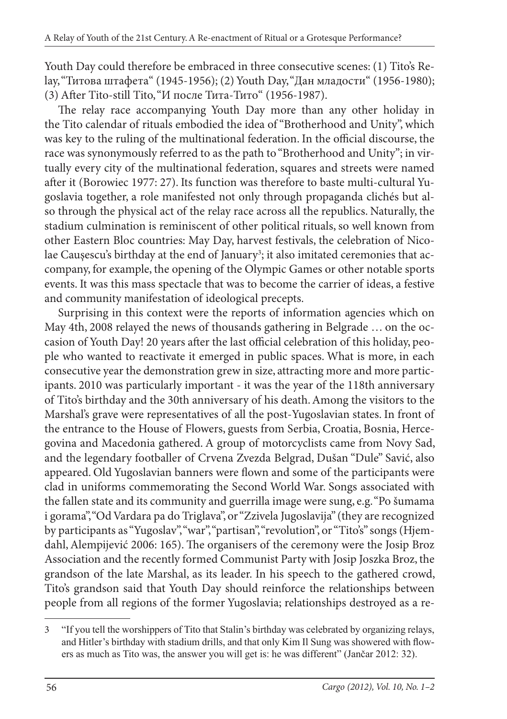Youth Day could therefore be embraced in three consecutive scenes: (1) Tito's Relay, "Титова штафета" (1945-1956); (2) Youth Day, "Дан младости" (1956-1980); (3) After Tito-still Tito, "И после Тита-Тито" (1956-1987).

The relay race accompanying Youth Day more than any other holiday in the Tito calendar of rituals embodied the idea of "Brotherhood and Unity", which was key to the ruling of the multinational federation. In the official discourse, the race was synonymously referred to as the path to "Brotherhood and Unity"; in virtually every city of the multinational federation, squares and streets were named after it (Borowiec 1977: 27). Its function was therefore to baste multi-cultural Yugoslavia together, a role manifested not only through propaganda clichés but also through the physical act of the relay race across all the republics. Naturally, the stadium culmination is reminiscent of other political rituals, so well known from other Eastern Bloc countries: May Day, harvest festivals, the celebration of Nicolae Caușescu's birthday at the end of January<sup>3</sup>; it also imitated ceremonies that accompany, for example, the opening of the Olympic Games or other notable sports events. It was this mass spectacle that was to become the carrier of ideas, a festive and community manifestation of ideological precepts.

Surprising in this context were the reports of information agencies which on May 4th, 2008 relayed the news of thousands gathering in Belgrade … on the occasion of Youth Day! 20 years after the last official celebration of this holiday, people who wanted to reactivate it emerged in public spaces. What is more, in each consecutive year the demonstration grew in size, attracting more and more participants. 2010 was particularly important - it was the year of the 118th anniversary of Tito's birthday and the 30th anniversary of his death. Among the visitors to the Marshal's grave were representatives of all the post-Yugoslavian states. In front of the entrance to the House of Flowers, guests from Serbia, Croatia, Bosnia, Hercegovina and Macedonia gathered. A group of motorcyclists came from Novy Sad, and the legendary footballer of Crvena Zvezda Belgrad, Dušan "Dule" Savić, also appeared. Old Yugoslavian banners were flown and some of the participants were clad in uniforms commemorating the Second World War. Songs associated with the fallen state and its community and guerrilla image were sung, e.g. "Po šumama i gorama", "Od Vardara pa do Triglava", or "Zzivela Jugoslavija" (they are recognized by participants as "Yugoslav", "war", "partisan", "revolution", or "Tito's" songs (Hjemdahl, Alempijević 2006: 165). The organisers of the ceremony were the Josip Broz Association and the recently formed Communist Party with Josip Joszka Broz, the grandson of the late Marshal, as its leader. In his speech to the gathered crowd, Tito's grandson said that Youth Day should reinforce the relationships between people from all regions of the former Yugoslavia; relationships destroyed as a re-

<sup>3</sup> "If you tell the worshippers of Tito that Stalin's birthday was celebrated by organizing relays, and Hitler's birthday with stadium drills, and that only Kim Il Sung was showered with flowers as much as Tito was, the answer you will get is: he was different" (Jančar 2012: 32).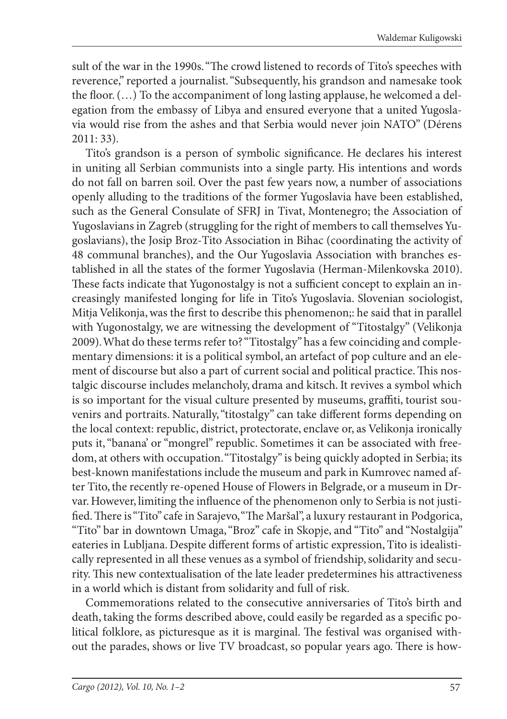sult of the war in the 1990s. "The crowd listened to records of Tito's speeches with reverence," reported a journalist. "Subsequently, his grandson and namesake took the floor.  $(...)$  To the accompaniment of long lasting applause, he welcomed a delegation from the embassy of Libya and ensured everyone that a united Yugoslavia would rise from the ashes and that Serbia would never join NATO" (Dérens 2011: 33).

Tito's grandson is a person of symbolic significance. He declares his interest in uniting all Serbian communists into a single party. His intentions and words do not fall on barren soil. Over the past few years now, a number of associations openly alluding to the traditions of the former Yugoslavia have been established, such as the General Consulate of SFRJ in Tivat, Montenegro; the Association of Yugoslavians in Zagreb (struggling for the right of members to call themselves Yugoslavians), the Josip Broz-Tito Association in Bihac (coordinating the activity of 48 communal branches), and the Our Yugoslavia Association with branches established in all the states of the former Yugoslavia (Herman-Milenkovska 2010). These facts indicate that Yugonostalgy is not a sufficient concept to explain an increasingly manifested longing for life in Tito's Yugoslavia. Slovenian sociologist, Mitja Velikonja, was the first to describe this phenomenon;: he said that in parallel with Yugonostalgy, we are witnessing the development of "Titostalgy" (Velikonja 2009). What do these terms refer to? "Titostalgy" has a few coinciding and complementary dimensions: it is a political symbol, an artefact of pop culture and an element of discourse but also a part of current social and political practice. This nostalgic discourse includes melancholy, drama and kitsch. It revives a symbol which is so important for the visual culture presented by museums, graffiti, tourist souvenirs and portraits. Naturally, "titostalgy" can take different forms depending on the local context: republic, district, protectorate, enclave or, as Velikonja ironically puts it, "banana' or "mongrel" republic. Sometimes it can be associated with freedom, at others with occupation. "Titostalgy" is being quickly adopted in Serbia; its best-known manifestations include the museum and park in Kumrovec named after Tito, the recently re-opened House of Flowers in Belgrade, or a museum in Drvar. However, limiting the influence of the phenomenon only to Serbia is not justified. There is "Tito" cafe in Sarajevo, "The Maršal", a luxury restaurant in Podgorica, "Tito" bar in downtown Umaga, "Broz" cafe in Skopje, and "Tito" and "Nostalgija" eateries in Lubljana. Despite different forms of artistic expression, Tito is idealistically represented in all these venues as a symbol of friendship, solidarity and security. This new contextualisation of the late leader predetermines his attractiveness in a world which is distant from solidarity and full of risk.

Commemorations related to the consecutive anniversaries of Tito's birth and death, taking the forms described above, could easily be regarded as a specific political folklore, as picturesque as it is marginal. The festival was organised without the parades, shows or live TV broadcast, so popular years ago. There is how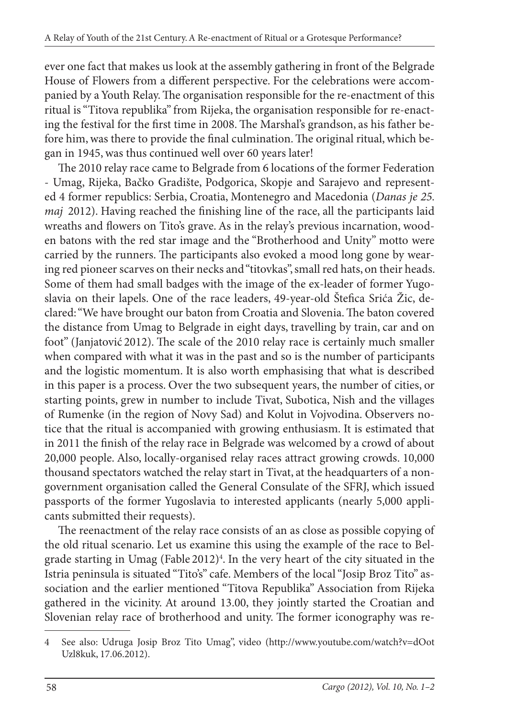ever one fact that makes us look at the assembly gathering in front of the Belgrade House of Flowers from a different perspective. For the celebrations were accompanied by a Youth Relay. The organisation responsible for the re-enactment of this ritual is "Titova republika" from Rijeka, the organisation responsible for re-enacting the festival for the first time in 2008. The Marshal's grandson, as his father before him, was there to provide the final culmination. The original ritual, which began in 1945, was thus continued well over 60 years later!

The 2010 relay race came to Belgrade from 6 locations of the former Federation - Umag, Rijeka, Bačko Gradište, Podgorica, Skopje and Sarajevo and represented 4 former republics: Serbia, Croatia, Montenegro and Macedonia (*Danas je 25. maj* 2012). Having reached the finishing line of the race, all the participants laid wreaths and flowers on Tito's grave. As in the relay's previous incarnation, wooden batons with the red star image and the "Brotherhood and Unity" motto were carried by the runners. The participants also evoked a mood long gone by wearing red pioneer scarves on their necks and "titovkas", small red hats, on their heads. Some of them had small badges with the image of the ex-leader of former Yugoslavia on their lapels. One of the race leaders, 49-year-old Štefica Srića Žic, declared: "We have brought our baton from Croatia and Slovenia. The baton covered the distance from Umag to Belgrade in eight days, travelling by train, car and on foot" (Janjatović 2012). The scale of the 2010 relay race is certainly much smaller when compared with what it was in the past and so is the number of participants and the logistic momentum. It is also worth emphasising that what is described in this paper is a process. Over the two subsequent years, the number of cities, or starting points, grew in number to include Tivat, Subotica, Nish and the villages of Rumenke (in the region of Novy Sad) and Kolut in Vojvodina. Observers notice that the ritual is accompanied with growing enthusiasm. It is estimated that in 2011 the finish of the relay race in Belgrade was welcomed by a crowd of about 20,000 people. Also, locally-organised relay races attract growing crowds. 10,000 thousand spectators watched the relay start in Tivat, at the headquarters of a nongovernment organisation called the General Consulate of the SFRJ, which issued passports of the former Yugoslavia to interested applicants (nearly 5,000 applicants submitted their requests).

The reenactment of the relay race consists of an as close as possible copying of the old ritual scenario. Let us examine this using the example of the race to Belgrade starting in Umag (Fable 2012)<sup>4</sup>. In the very heart of the city situated in the Istria peninsula is situated "Tito's" cafe. Members of the local "Josip Broz Tito" association and the earlier mentioned "Titova Republika" Association from Rijeka gathered in the vicinity. At around 13.00, they jointly started the Croatian and Slovenian relay race of brotherhood and unity. The former iconography was re-

<sup>4</sup> See also: Udruga Josip Broz Tito Umag", video (http://www.youtube.com/watch?v=dOot Uzl8kuk, 17.06.2012).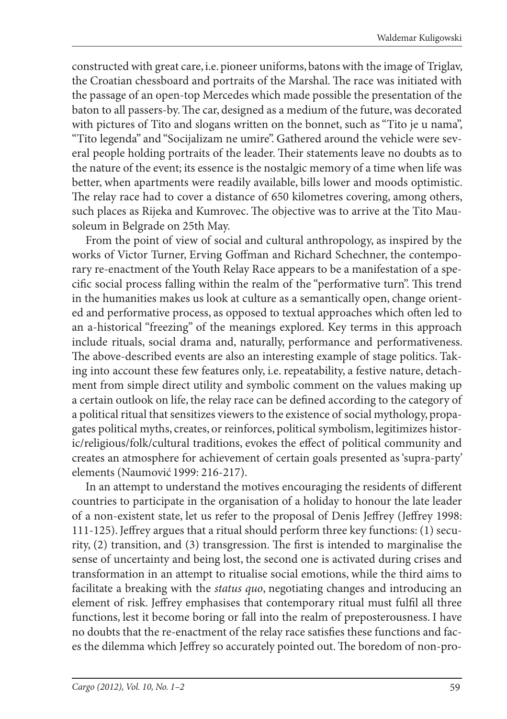constructed with great care, i.e. pioneer uniforms, batons with the image of Triglav, the Croatian chessboard and portraits of the Marshal. The race was initiated with the passage of an open-top Mercedes which made possible the presentation of the baton to all passers-by. The car, designed as a medium of the future, was decorated with pictures of Tito and slogans written on the bonnet, such as "Tito je u nama", "Tito legenda" and "Socijalizam ne umire". Gathered around the vehicle were several people holding portraits of the leader. Their statements leave no doubts as to the nature of the event; its essence is the nostalgic memory of a time when life was better, when apartments were readily available, bills lower and moods optimistic. The relay race had to cover a distance of 650 kilometres covering, among others, such places as Rijeka and Kumrovec. The objective was to arrive at the Tito Mausoleum in Belgrade on 25th May.

From the point of view of social and cultural anthropology, as inspired by the works of Victor Turner, Erving Goffman and Richard Schechner, the contemporary re-enactment of the Youth Relay Race appears to be a manifestation of a specific social process falling within the realm of the "performative turn". This trend in the humanities makes us look at culture as a semantically open, change oriented and performative process, as opposed to textual approaches which often led to an a-historical "freezing" of the meanings explored. Key terms in this approach include rituals, social drama and, naturally, performance and performativeness. The above-described events are also an interesting example of stage politics. Taking into account these few features only, i.e. repeatability, a festive nature, detachment from simple direct utility and symbolic comment on the values making up a certain outlook on life, the relay race can be defined according to the category of a political ritual that sensitizes viewers to the existence of social mythology, propagates political myths, creates, or reinforces, political symbolism, legitimizes historic/religious/folk/cultural traditions, evokes the effect of political community and creates an atmosphere for achievement of certain goals presented as 'supra-party' elements (Naumović 1999: 216-217).

In an attempt to understand the motives encouraging the residents of different countries to participate in the organisation of a holiday to honour the late leader of a non-existent state, let us refer to the proposal of Denis Jeffrey (Jeffrey 1998: 111-125). Jeffrey argues that a ritual should perform three key functions: (1) security,  $(2)$  transition, and  $(3)$  transgression. The first is intended to marginalise the sense of uncertainty and being lost, the second one is activated during crises and transformation in an attempt to ritualise social emotions, while the third aims to facilitate a breaking with the *status quo*, negotiating changes and introducing an element of risk. Jeffrey emphasises that contemporary ritual must fulfil all three functions, lest it become boring or fall into the realm of preposterousness. I have no doubts that the re-enactment of the relay race satisfies these functions and faces the dilemma which Jeffrey so accurately pointed out. The boredom of non-pro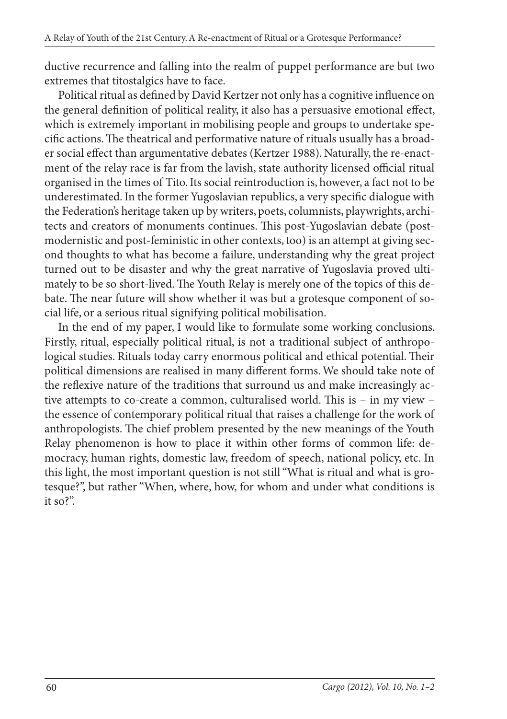ductive recurrence and falling into the realm of puppet performance are but two extremes that titostalgics have to face.

Political ritual as defined by David Kertzer not only has a cognitive influence on the general definition of political reality, it also has a persuasive emotional effect, which is extremely important in mobilising people and groups to undertake specific actions. The theatrical and performative nature of rituals usually has a broader social effect than argumentative debates (Kertzer 1988). Naturally, the re-enactment of the relay race is far from the lavish, state authority licensed official ritual organised in the times of Tito. Its social reintroduction is, however, a fact not to be underestimated. In the former Yugoslavian republics, a very specific dialogue with the Federation's heritage taken up by writers, poets, columnists, playwrights, architects and creators of monuments continues. This post-Yugoslavian debate (postmodernistic and post-feministic in other contexts, too) is an attempt at giving second thoughts to what has become a failure, understanding why the great project turned out to be disaster and why the great narrative of Yugoslavia proved ultimately to be so short-lived. The Youth Relay is merely one of the topics of this debate. The near future will show whether it was but a grotesque component of social life, or a serious ritual signifying political mobilisation.

In the end of my paper, I would like to formulate some working conclusions. Firstly, ritual, especially political ritual, is not a traditional subject of anthropological studies. Rituals today carry enormous political and ethical potential. Their political dimensions are realised in many different forms. We should take note of the reflexive nature of the traditions that surround us and make increasingly active attempts to co-create a common, culturalised world. This is  $-$  in my view  $$ the essence of contemporary political ritual that raises a challenge for the work of anthropologists. The chief problem presented by the new meanings of the Youth Relay phenomenon is how to place it within other forms of common life: democracy, human rights, domestic law, freedom of speech, national policy, etc. In this light, the most important question is not still "What is ritual and what is grotesque?", but rather "When, where, how, for whom and under what conditions is it so?".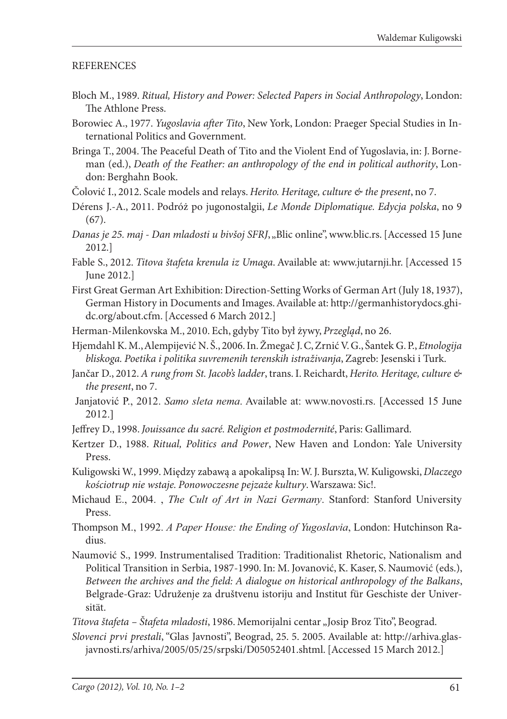## **REFERENCES**

- Bloch M., 1989. *Ritual, History and Power: Selected Papers in Social Anthropology*, London: The Athlone Press.
- Borowiec A., 1977. *Yugoslavia after Tito*, New York, London: Praeger Special Studies in International Politics and Government.
- Bringa T., 2004. The Peaceful Death of Tito and the Violent End of Yugoslavia, in: J. Borneman (ed.), *Death of the Feather: an anthropology of the end in political authority*, London: Berghahn Book.
- Čolović I., 2012. Scale models and relays. *Herito. Heritage, culture & the present*, no 7.
- Dérens J.-A., 2011. Podróż po jugonostalgii, *Le Monde Diplomatique. Edycja polska*, no 9 (67).
- *Danas je 25. maj Dan mladosti u bivšoj SFRJ*, "Blic online", www.blic.rs. [Accessed 15 June 2012.]
- Fable S., 2012. *Titova štafeta krenula iz Umaga*. Available at: www.jutarnji.hr. [Accessed 15 June 2012.]
- First Great German Art Exhibition: Direction-Setting Works of German Art (July 18, 1937), German History in Documents and Images. Available at: http://germanhistorydocs.ghidc.org/about.cfm. [Accessed 6 March 2012.]
- Herman-Milenkovska M., 2010. Ech, gdyby Tito był żywy, *Przegląd*, no 26.
- Hjemdahl K. M., Alempijević N. Š., 2006. In. Žmegač J. C, Zrnić V. G., Šantek G. P., *Etnologija bliskoga. Poetika i politika suvremenih terenskih istraživanja*, Zagreb: Jesenski i Turk.
- Jančar D., 2012. *A rung from St. Jacob's ladder*, trans. I. Reichardt, *Herito. Heritage, culture & the present*, no 7.
- Janjatović P., 2012. *Samo sleta nema*. Available at: www.novosti.rs. [Accessed 15 June 2012.]
- Jeffrey D., 1998. *Jouissance du sacré. Religion et postmodernité*, Paris: Gallimard.
- Kertzer D., 1988. *Ritual, Politics and Power*, New Haven and London: Yale University Press.
- Kuligowski W., 1999. Między zabawą a apokalipsą In: W. J. Burszta, W. Kuligowski, *Dlaczego kościotrup nie wstaje. Ponowoczesne pejzaże kultury*. Warszawa: Sic!.
- Michaud E., 2004. , *The Cult of Art in Nazi Germany*. Stanford: Stanford University Press.
- Thompson M., 1992. *A Paper House: the Ending of Yugoslavia*, London: Hutchinson Radius.
- Naumović S., 1999. Instrumentalised Tradition: Traditionalist Rhetoric, Nationalism and Political Transition in Serbia, 1987-1990. In: M. Jovanović, K. Kaser, S. Naumović (eds.), *Between the archives and the field: A dialogue on historical anthropology of the Balkans,* Belgrade-Graz: Udruženje za društvenu istoriju and Institut für Geschiste der Universität.

*Titova štafeta – Štafeta mladosti*, 1986. Memorijalni centar "Josip Broz Tito", Beograd.

*Slovenci prvi prestali*, "Glas Javnosti", Beograd, 25. 5. 2005. Available at: http://arhiva.glasjavnosti.rs/arhiva/2005/05/25/srpski/D05052401.shtml. [Accessed 15 March 2012.]